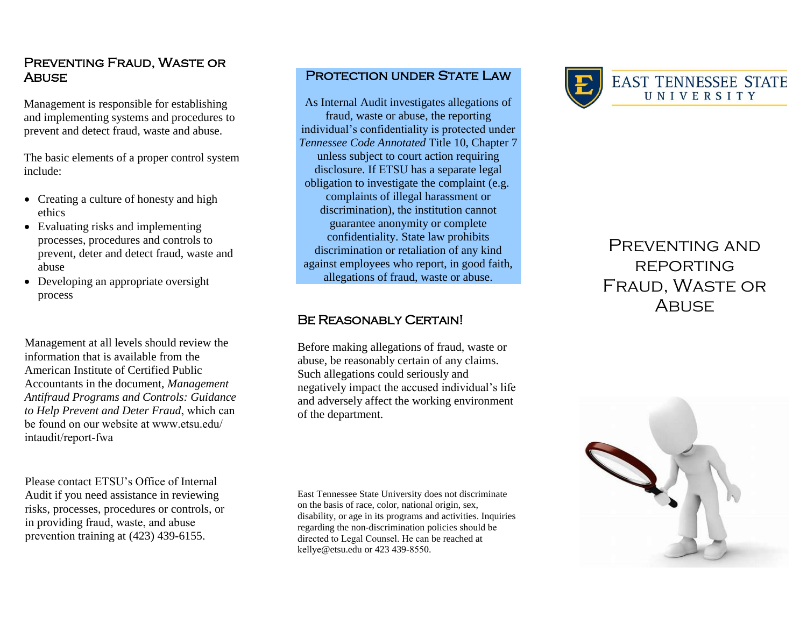## Preventing Fraud, Waste or **ABUSE**

Management is responsible for establishing and implementing systems and procedures to prevent and detect fraud, waste and abuse.

The basic elements of a proper control system include:

- Creating a culture of honesty and high ethics
- Evaluating risks and implementing processes, procedures and controls to prevent, deter and detect fraud, waste and abuse
- Developing an appropriate oversight process

Management at all levels should review the information that is available from [the](file:///C:/Documents%20and%20Settings/tgourley/Local%20Settings/Temporary%20Internet%20Files/Content.Outlook/5TGP7WVU/Management%20Antifraud%20Programs%20and%20Controls.pdf)  Am[erican Institute of Certified Public](file:///C:/Documents%20and%20Settings/tgourley/Local%20Settings/Temporary%20Internet%20Files/Content.Outlook/5TGP7WVU/Management%20Antifraud%20Programs%20and%20Controls.pdf)  Acc[ountants in the document,](file:///C:/Documents%20and%20Settings/tgourley/Local%20Settings/Temporary%20Internet%20Files/Content.Outlook/5TGP7WVU/Management%20Antifraud%20Programs%20and%20Controls.pdf) *Management Antifraud Programs and Controls: Guidance to Help Prevent and Deter Fraud*, which can be f[ound on our website at www.ets](http://www.tbr.edu/offices/businessandfinance.aspx?id=6738)u.edu/ intaudit/report-fwa

Please contact ETSU's Office of Internal Audit if you need assistance in reviewing risks, processes, procedures or controls, or in providing fraud, waste, and abuse prevention training at (423) 439-6155.

## PROTECTION UNDER STATE LAW

As Internal Audit investigates allegations of fraud, waste or abuse, the reporting individual's confidentiality is protected under *Tennessee Code Annotated* Title 10, Chapter 7 unless subject to court action requiring disclosure. If ETSU has a separate legal obligation to investigate the complaint (e.g. complaints of illegal harassment or discrimination), the institution cannot guarantee anonymity or complete confidentiality. State law prohibits discrimination or retaliation of any kind against employees who report, in good faith, allegations of fraud, waste or abuse.

#### Be Reasonably Certain!

Before making allegations of fraud, waste or abuse, be reasonably certain of any claims. Such allegations could seriously and negatively impact the accused individual's life and adversely affect the working environment of the department.

East Tennessee State University does not discriminate on the basis of race, color, national origin, sex, disability, or age in its programs and activities. Inquiries regarding the non-discrimination policies should be directed to Legal Counsel. He can be reached at kellye@etsu.edu or 423 439-8550.



# PREVENTING AND **REPORTING** Fraud, Waste or **ABUSE**